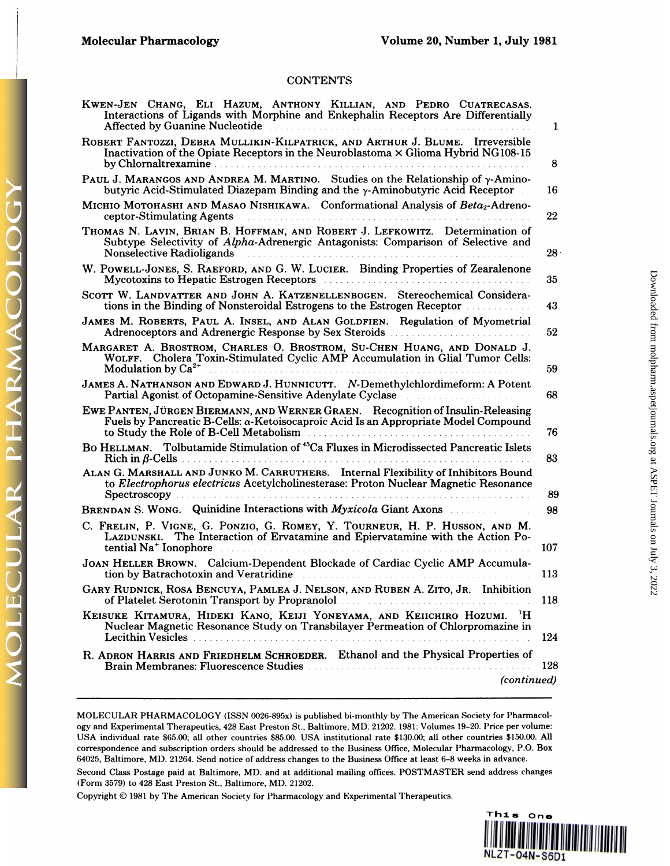PHARMAC

**OLAR** 

LE

## **CONTENTS**

| <b>CONTENTS</b>                                                                                                                                                                                                                                                                                                  |                 |
|------------------------------------------------------------------------------------------------------------------------------------------------------------------------------------------------------------------------------------------------------------------------------------------------------------------|-----------------|
| KWEN-JEN CHANG, ELI HAZUM, ANTHONY KILLIAN, AND PEDRO CUATRECASAS.<br>Interactions of Ligands with Morphine and Enkephalin Receptors Are Differentially<br>Affected by Guanine Nucleotide <b>Election Contract Contract of Affected</b> by Guanine Nucleotide <b>Contract Contract Contract On Affected</b>      | 1               |
| ROBERT FANTOZZI, DEBRA MULLIKIN-KILPATRICK, AND ARTHUR J. BLUME. Irreversible<br>Inactivation of the Opiate Receptors in the Neuroblastoma × Glioma Hybrid NG108-15                                                                                                                                              | 8               |
| PAUL J. MARANGOS AND ANDREA M. MARTINO. Studies on the Relationship of y-Amino-<br>butyric Acid-Stimulated Diazepam Binding and the $\gamma$ -Aminobutyric Acid Receptor                                                                                                                                         | 16              |
| Місніо Мотонаѕні амр Маѕао Міѕнікама. Conformational Analysis of Beta2-Adreno-                                                                                                                                                                                                                                   | 22              |
| THOMAS N. LAVIN, BRIAN B. HOFFMAN, AND ROBERT J. LEFKOWITZ. Determination of<br>Subtype Selectivity of Alpha-Adrenergic Antagonists: Comparison of Selective and<br>Nonselective Radioligands                                                                                                                    | 28 <sup>1</sup> |
| W. POWELL-JONES, S. RAEFORD, AND G. W. LUCIER. Binding Properties of Zearalenone<br>Mycotoxins to Hepatic Estrogen Receptors <b>Executive Strategier Acceptor</b>                                                                                                                                                | 35              |
| SCOTT W. LANDVATTER AND JOHN A. KATZENELLENBOGEN. Stereochemical Considera-<br>tions in the Binding of Nonsteroidal Estrogens to the Estrogen Receptor                                                                                                                                                           | 43              |
| JAMES M. ROBERTS, PAUL A. INSEL, AND ALAN GOLDFIEN. Regulation of Myometrial                                                                                                                                                                                                                                     | 52              |
| MARGARET A. BROSTROM, CHARLES O. BROSTROM, SU-CHEN HUANG, AND DONALD J.<br>WOLFF. Cholera Toxin-Stimulated Cyclic AMP Accumulation in Glial Tumor Cells:<br>Modulation by Ca <sup>2+</sup> All Albert 2018 Contract 2018 Ca <sup>2+</sup>                                                                        | 59              |
| JAMES A. NATHANSON AND EDWARD J. HUNNICUTT. N-Demethylchlordimeform: A Potent<br>Partial Agonist of Octopamine-Sensitive Adenylate Cyclase                                                                                                                                                                       | 68              |
| EWE PANTEN, JÜRGEN BIERMANN, AND WERNER GRAEN. Recognition of Insulin-Releasing<br>Fuels by Pancreatic B-Cells: α-Ketoisocaproic Acid Is an Appropriate Model Compound<br>to Study the Role of B-Cell Metabolism                                                                                                 | 76              |
| BO HELLMAN. Tolbutamide Stimulation of <sup>45</sup> Ca Fluxes in Microdissected Pancreatic Islets<br>$\mathbf{Rich}\text{ in }\beta\text{-Cells}$                                                                                                                                                               | 83              |
| ALAN G. MARSHALL AND JUNKO M. CARRUTHERS. Internal Flexibility of Inhibitors Bound<br>to Electrophorus electricus Acetylcholinesterase: Proton Nuclear Magnetic Resonance                                                                                                                                        | 89              |
| BRENDAN S. WONG. Quinidine Interactions with <i>Myxicola</i> Giant Axons                                                                                                                                                                                                                                         | 98              |
| C. FRELIN, P. VIGNE, G. PONZIO, G. ROMEY, Y. TOURNEUR, H. P. HUSSON, AND M.<br>LAZDUNSKI. The Interaction of Ervatamine and Epiervatamine with the Action Po-<br>tential Na <sup>+</sup> Ionophore                                                                                                               | 107             |
| JOAN HELLER BROWN. Calcium-Dependent Blockade of Cardiac Cyclic AMP Accumula-<br>tion by Batrachotoxin and Veratridine                                                                                                                                                                                           | 113             |
| GARY RUDNICK, ROSA BENCUYA, PAMLEA J. NELSON, AND RUBEN A. ZITO, JR. Inhibition<br>of Platelet Serotonin Transport by Propranolol manuscripture and the contract of the contract of the contract of the contract of the contract of the contract of the contract of the contract of the contract of the contract | 118             |
| KEISUKE KITAMURA, HIDEKI KANO, KEIJI YONEYAMA, AND KEIICHIRO HOZUMI. <sup>1</sup> H<br>Nuclear Magnetic Resonance Study on Transbilayer Permeation of Chlorpromazine in<br>Lecithin Vesicles                                                                                                                     | 124             |
| R. ADRON HARRIS AND FRIEDHELM SCHROEDER. Ethanol and the Physical Properties of                                                                                                                                                                                                                                  | 128             |
| (continued)                                                                                                                                                                                                                                                                                                      |                 |

Continued)<br>MOLECULAR PHARMACOLOGY (ISSN 0026-895x) is published bi-monthly by The American Society for Pharmacol-<br>1993 or Disperimental Therapeutics, 428 East Preston St., Baltimore, MD. 21202. 1981: Volumes 19-20. Price p MOLECULAR PHARMACOLOGY (ISSN 0026-895x) is published bi-monthly by The American Society for Pharmacology and Experimental Therapeutics, 428 East Preston St., Baltimore, MD. 21202. 1981: Volumes 19–20. Price per volume:<br>USA MOLECULAR PHARMACOLOGY (ISSN 0026-895x) is published bi-monthly by The American Society for Pharmacology and Experimental Therapeutics, 428 East Preston St., Baltimore, MD. 21202. 1981: Volumes 19–20. Price per volume: USA ogy and Experimental Therapeutics, 428 East Preston St., Baltimore, MD. 21202. 1981: Volumes 19-20. Price per volume: USA individual rate \$65.00; all other countries \$85.00. USA institutional rate \$130.00; all other countr USA individual rate \$65.00; all other countries \$85.00. USA institutional rate \$130.00; all other countries \$150.00. All correspondence and subscription orders should be addressed to the Business Office, Molecular Pharmaco

Second Class Postage paid at Baltimore, MD. and at additional mailing offices. POSTMASTER send address changes (Form 3579) to 428 East Preston St., Baltimore, MD. 21202.<br>Copyright © 1981 by The American Society for Pharmac G4025, Baltimore, MD. 21264. Send notice of address changes to the Business Office at least 6–8 weeks in advance.<br>Second Class Postage paid at Baltimore, MD. and at additional mailing offices. POSTMASTER send address chang